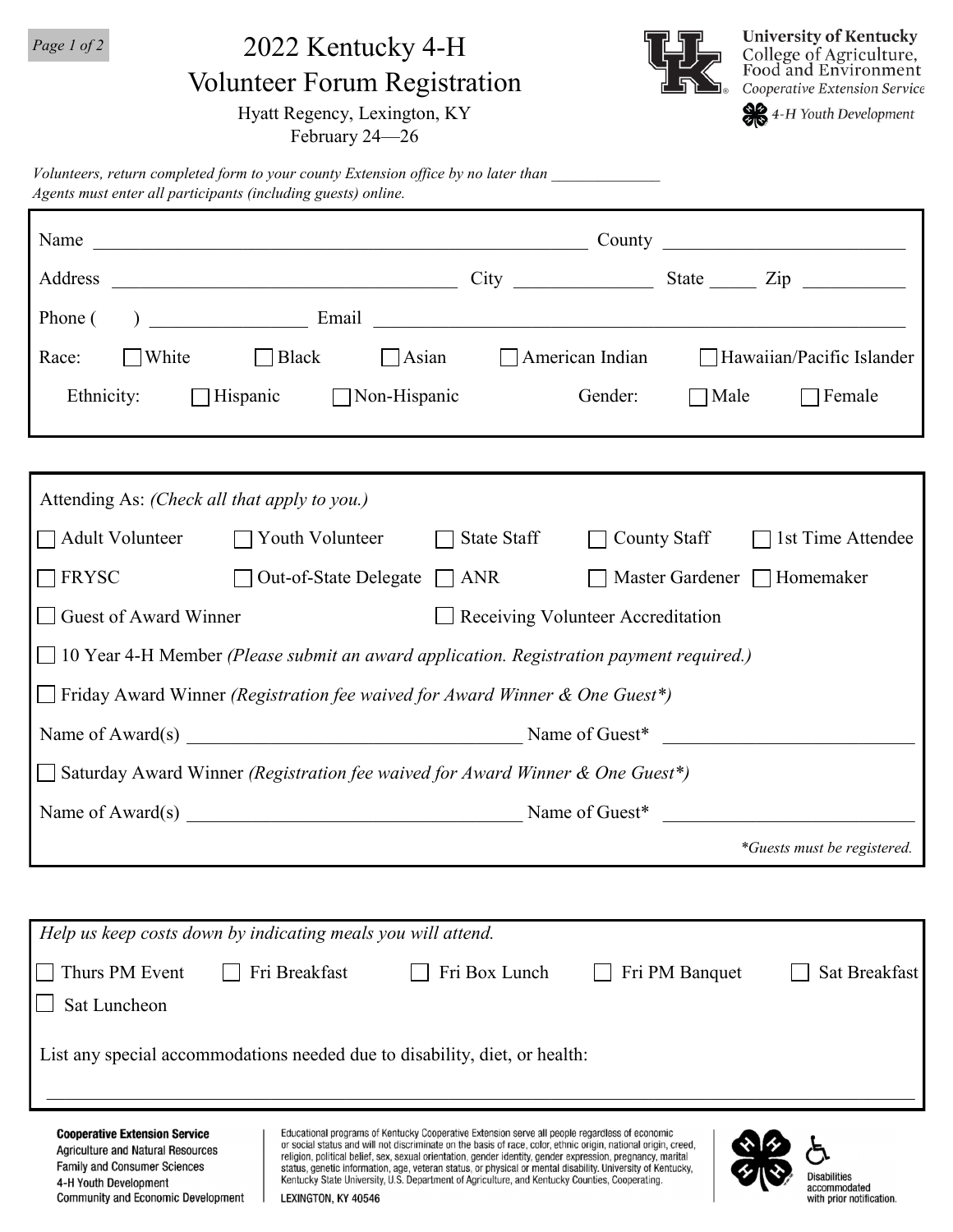*Page 1 of 2*

## 2022 Kentucky 4-H

Volunteer Forum Registration

Hyatt Regency, Lexington, KY

February 24—26



4-H Youth Development

*Volunteers, return completed form to your county Extension office by no later than \_\_\_\_\_\_\_\_\_\_\_\_\_\_ Agents must enter all participants (including guests) online.*

| $\Box$ White $\Box$ Black<br>Race:                                                                                                               |                                                                                                                                                                                                                                                                                                                                                                                                                                                                                                                                                  | $\bigcap$ Asian | $\Box$ American Indian |                                  | Hawaiian/Pacific Islander   |  |
|--------------------------------------------------------------------------------------------------------------------------------------------------|--------------------------------------------------------------------------------------------------------------------------------------------------------------------------------------------------------------------------------------------------------------------------------------------------------------------------------------------------------------------------------------------------------------------------------------------------------------------------------------------------------------------------------------------------|-----------------|------------------------|----------------------------------|-----------------------------|--|
| Ethnicity:<br>$\Box$ Hispanic                                                                                                                    | $\Box$ Non-Hispanic                                                                                                                                                                                                                                                                                                                                                                                                                                                                                                                              |                 | Gender:                | $\Box$ Male                      | $\Box$ Female               |  |
|                                                                                                                                                  |                                                                                                                                                                                                                                                                                                                                                                                                                                                                                                                                                  |                 |                        |                                  |                             |  |
| Attending As: (Check all that apply to you.)                                                                                                     |                                                                                                                                                                                                                                                                                                                                                                                                                                                                                                                                                  |                 |                        |                                  |                             |  |
| $\Box$ Adult Volunteer                                                                                                                           | $\Box$ Youth Volunteer                                                                                                                                                                                                                                                                                                                                                                                                                                                                                                                           | State Staff     |                        | <b>County Staff</b>              | 1st Time Attendee           |  |
| <b>FRYSC</b>                                                                                                                                     | Out-of-State Delegate $\Box$ ANR                                                                                                                                                                                                                                                                                                                                                                                                                                                                                                                 |                 |                        | Master Gardener $\Box$ Homemaker |                             |  |
| Guest of Award Winner<br>Receiving Volunteer Accreditation                                                                                       |                                                                                                                                                                                                                                                                                                                                                                                                                                                                                                                                                  |                 |                        |                                  |                             |  |
| $\Box$ 10 Year 4-H Member (Please submit an award application. Registration payment required.)                                                   |                                                                                                                                                                                                                                                                                                                                                                                                                                                                                                                                                  |                 |                        |                                  |                             |  |
| $\Box$ Friday Award Winner (Registration fee waived for Award Winner & One Guest*)                                                               |                                                                                                                                                                                                                                                                                                                                                                                                                                                                                                                                                  |                 |                        |                                  |                             |  |
|                                                                                                                                                  | Name of Award(s) Name of Guest*                                                                                                                                                                                                                                                                                                                                                                                                                                                                                                                  |                 |                        |                                  |                             |  |
| $\Box$ Saturday Award Winner (Registration fee waived for Award Winner & One Guest*)                                                             |                                                                                                                                                                                                                                                                                                                                                                                                                                                                                                                                                  |                 |                        |                                  |                             |  |
| Name of Award(s) Name of Guest*                                                                                                                  |                                                                                                                                                                                                                                                                                                                                                                                                                                                                                                                                                  |                 |                        |                                  |                             |  |
|                                                                                                                                                  |                                                                                                                                                                                                                                                                                                                                                                                                                                                                                                                                                  |                 |                        |                                  | *Guests must be registered. |  |
|                                                                                                                                                  |                                                                                                                                                                                                                                                                                                                                                                                                                                                                                                                                                  |                 |                        |                                  |                             |  |
| Help us keep costs down by indicating meals you will attend.                                                                                     |                                                                                                                                                                                                                                                                                                                                                                                                                                                                                                                                                  |                 |                        |                                  |                             |  |
| Thurs PM Event                                                                                                                                   | Fri Breakfast                                                                                                                                                                                                                                                                                                                                                                                                                                                                                                                                    | Fri Box Lunch   |                        | Fri PM Banquet                   | Sat Breakfast               |  |
| Sat Luncheon                                                                                                                                     |                                                                                                                                                                                                                                                                                                                                                                                                                                                                                                                                                  |                 |                        |                                  |                             |  |
| List any special accommodations needed due to disability, diet, or health:                                                                       |                                                                                                                                                                                                                                                                                                                                                                                                                                                                                                                                                  |                 |                        |                                  |                             |  |
| <b>Cooperative Extension Service</b><br><b>Agriculture and Natural Resources</b><br><b>Family and Consumer Sciences</b><br>4-H Youth Development | Educational programs of Kentucky Cooperative Extension serve all people regardless of economic<br>or social status and will not discriminate on the basis of race, color, ethnic origin, national origin, creed,<br>religion, political belief, sex, sexual orientation, gender identity, gender expression, pregnancy, marital<br>status, genetic information, age, veteran status, or physical or mental disability. University of Kentucky,<br>Kentucky State University, U.S. Department of Agriculture, and Kentucky Counties, Cooperating. |                 |                        |                                  | Disabilities                |  |

Community and Economic Development LEXINGTON, KY 40546 **Disabilities** accommodated with prior notification.